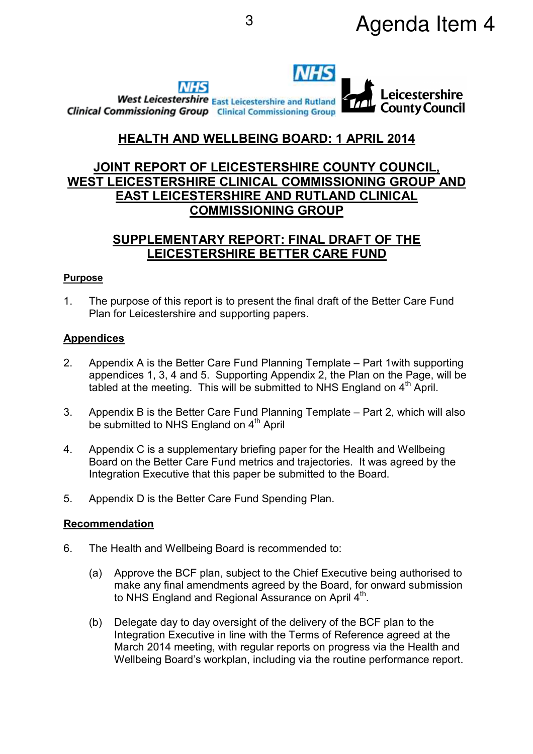

# **HEALTH AND WELLBEING BOARD: 1 APRIL 2014**

### **JOINT REPORT OF LEICESTERSHIRE COUNTY COUNCIL, WEST LEICESTERSHIRE CLINICAL COMMISSIONING GROUP AND EAST LEICESTERSHIRE AND RUTLAND CLINICAL COMMISSIONING GROUP**

### **SUPPLEMENTARY REPORT: FINAL DRAFT OF THE LEICESTERSHIRE BETTER CARE FUND**

#### **Purpose**

1. The purpose of this report is to present the final draft of the Better Care Fund Plan for Leicestershire and supporting papers.

### **Appendices**

- 2. Appendix A is the Better Care Fund Planning Template Part 1with supporting appendices 1, 3, 4 and 5. Supporting Appendix 2, the Plan on the Page, will be tabled at the meeting. This will be submitted to NHS England on 4<sup>th</sup> April.
- 3. Appendix B is the Better Care Fund Planning Template Part 2, which will also be submitted to NHS England on  $4<sup>th</sup>$  April
- 4. Appendix C is a supplementary briefing paper for the Health and Wellbeing Board on the Better Care Fund metrics and trajectories. It was agreed by the Integration Executive that this paper be submitted to the Board.
- 5. Appendix D is the Better Care Fund Spending Plan.

### **Recommendation**

- 6. The Health and Wellbeing Board is recommended to:
	- (a) Approve the BCF plan, subject to the Chief Executive being authorised to make any final amendments agreed by the Board, for onward submission to NHS England and Regional Assurance on April  $4<sup>th</sup>$ .
	- (b) Delegate day to day oversight of the delivery of the BCF plan to the Integration Executive in line with the Terms of Reference agreed at the March 2014 meeting, with regular reports on progress via the Health and Wellbeing Board's workplan, including via the routine performance report.